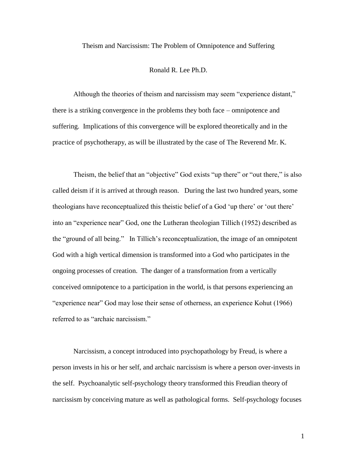Theism and Narcissism: The Problem of Omnipotence and Suffering

## Ronald R. Lee Ph.D.

Although the theories of theism and narcissism may seem "experience distant," there is a striking convergence in the problems they both face – omnipotence and suffering. Implications of this convergence will be explored theoretically and in the practice of psychotherapy, as will be illustrated by the case of The Reverend Mr. K.

Theism, the belief that an "objective" God exists "up there" or "out there," is also called deism if it is arrived at through reason. During the last two hundred years, some theologians have reconceptualized this theistic belief of a God "up there" or "out there" into an "experience near" God, one the Lutheran theologian Tillich (1952) described as the "ground of all being." In Tillich"s reconceptualization, the image of an omnipotent God with a high vertical dimension is transformed into a God who participates in the ongoing processes of creation. The danger of a transformation from a vertically conceived omnipotence to a participation in the world, is that persons experiencing an "experience near" God may lose their sense of otherness, an experience Kohut (1966) referred to as "archaic narcissism."

Narcissism, a concept introduced into psychopathology by Freud, is where a person invests in his or her self, and archaic narcissism is where a person over-invests in the self. Psychoanalytic self-psychology theory transformed this Freudian theory of narcissism by conceiving mature as well as pathological forms. Self-psychology focuses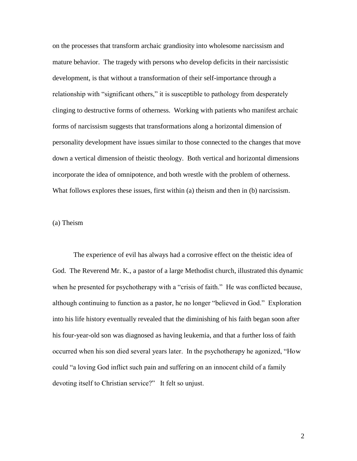on the processes that transform archaic grandiosity into wholesome narcissism and mature behavior. The tragedy with persons who develop deficits in their narcissistic development, is that without a transformation of their self-importance through a relationship with "significant others," it is susceptible to pathology from desperately clinging to destructive forms of otherness. Working with patients who manifest archaic forms of narcissism suggests that transformations along a horizontal dimension of personality development have issues similar to those connected to the changes that move down a vertical dimension of theistic theology. Both vertical and horizontal dimensions incorporate the idea of omnipotence, and both wrestle with the problem of otherness. What follows explores these issues, first within (a) theism and then in (b) narcissism.

# (a) Theism

The experience of evil has always had a corrosive effect on the theistic idea of God. The Reverend Mr. K., a pastor of a large Methodist church, illustrated this dynamic when he presented for psychotherapy with a "crisis of faith." He was conflicted because, although continuing to function as a pastor, he no longer "believed in God." Exploration into his life history eventually revealed that the diminishing of his faith began soon after his four-year-old son was diagnosed as having leukemia, and that a further loss of faith occurred when his son died several years later. In the psychotherapy he agonized, "How could "a loving God inflict such pain and suffering on an innocent child of a family devoting itself to Christian service?" It felt so unjust.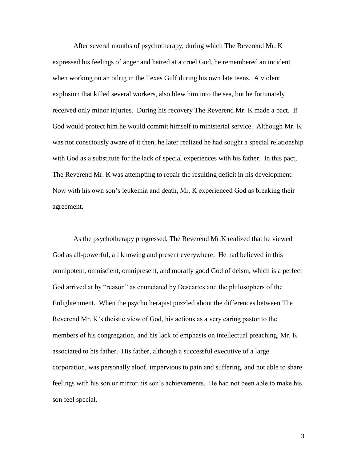After several months of psychotherapy, during which The Reverend Mr. K expressed his feelings of anger and hatred at a cruel God, he remembered an incident when working on an oilrig in the Texas Gulf during his own late teens. A violent explosion that killed several workers, also blew him into the sea, but he fortunately received only minor injuries. During his recovery The Reverend Mr. K made a pact. If God would protect him he would commit himself to ministerial service. Although Mr. K was not consciously aware of it then, he later realized he had sought a special relationship with God as a substitute for the lack of special experiences with his father. In this pact, The Reverend Mr. K was attempting to repair the resulting deficit in his development. Now with his own son"s leukemia and death, Mr. K experienced God as breaking their agreement.

As the psychotherapy progressed, The Reverend Mr.K realized that he viewed God as all-powerful, all knowing and present everywhere. He had believed in this omnipotent, omniscient, omnipresent, and morally good God of deism, which is a perfect God arrived at by "reason" as enunciated by Descartes and the philosophers of the Enlightenment. When the psychotherapist puzzled about the differences between The Reverend Mr. K"s theistic view of God, his actions as a very caring pastor to the members of his congregation, and his lack of emphasis on intellectual preaching, Mr. K associated to his father. His father, although a successful executive of a large corporation, was personally aloof, impervious to pain and suffering, and not able to share feelings with his son or mirror his son"s achievements. He had not been able to make his son feel special.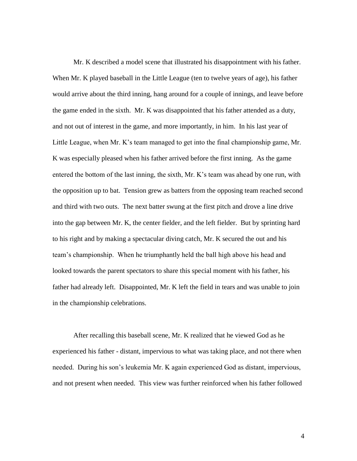Mr. K described a model scene that illustrated his disappointment with his father. When Mr. K played baseball in the Little League (ten to twelve years of age), his father would arrive about the third inning, hang around for a couple of innings, and leave before the game ended in the sixth. Mr. K was disappointed that his father attended as a duty, and not out of interest in the game, and more importantly, in him. In his last year of Little League, when Mr. K"s team managed to get into the final championship game, Mr. K was especially pleased when his father arrived before the first inning. As the game entered the bottom of the last inning, the sixth, Mr. K's team was ahead by one run, with the opposition up to bat. Tension grew as batters from the opposing team reached second and third with two outs. The next batter swung at the first pitch and drove a line drive into the gap between Mr. K, the center fielder, and the left fielder. But by sprinting hard to his right and by making a spectacular diving catch, Mr. K secured the out and his team"s championship. When he triumphantly held the ball high above his head and looked towards the parent spectators to share this special moment with his father, his father had already left. Disappointed, Mr. K left the field in tears and was unable to join in the championship celebrations.

After recalling this baseball scene, Mr. K realized that he viewed God as he experienced his father - distant, impervious to what was taking place, and not there when needed. During his son"s leukemia Mr. K again experienced God as distant, impervious, and not present when needed. This view was further reinforced when his father followed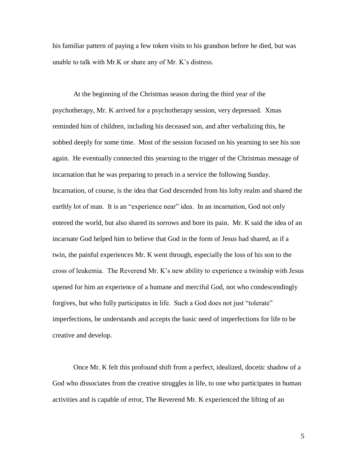his familiar pattern of paying a few token visits to his grandson before he died, but was unable to talk with Mr.K or share any of Mr. K"s distress.

At the beginning of the Christmas season during the third year of the psychotherapy, Mr. K arrived for a psychotherapy session, very depressed. Xmas reminded him of children, including his deceased son, and after verbalizing this, he sobbed deeply for some time. Most of the session focused on his yearning to see his son again. He eventually connected this yearning to the trigger of the Christmas message of incarnation that he was preparing to preach in a service the following Sunday. Incarnation, of course, is the idea that God descended from his lofty realm and shared the earthly lot of man. It is an "experience near" idea. In an incarnation, God not only entered the world, but also shared its sorrows and bore its pain. Mr. K said the idea of an incarnate God helped him to believe that God in the form of Jesus had shared, as if a twin, the painful experiences Mr. K went through, especially the loss of his son to the cross of leukemia. The Reverend Mr. K"s new ability to experience a twinship with Jesus opened for him an experience of a humane and merciful God, not who condescendingly forgives, but who fully participates in life. Such a God does not just "tolerate" imperfections, he understands and accepts the basic need of imperfections for life to be creative and develop.

Once Mr. K felt this profound shift from a perfect, idealized, docetic shadow of a God who dissociates from the creative struggles in life, to one who participates in human activities and is capable of error, The Reverend Mr. K experienced the lifting of an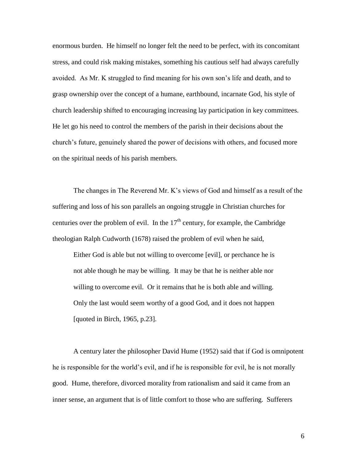enormous burden. He himself no longer felt the need to be perfect, with its concomitant stress, and could risk making mistakes, something his cautious self had always carefully avoided. As Mr. K struggled to find meaning for his own son"s life and death, and to grasp ownership over the concept of a humane, earthbound, incarnate God, his style of church leadership shifted to encouraging increasing lay participation in key committees. He let go his need to control the members of the parish in their decisions about the church"s future, genuinely shared the power of decisions with others, and focused more on the spiritual needs of his parish members.

The changes in The Reverend Mr. K"s views of God and himself as a result of the suffering and loss of his son parallels an ongoing struggle in Christian churches for centuries over the problem of evil. In the  $17<sup>th</sup>$  century, for example, the Cambridge theologian Ralph Cudworth (1678) raised the problem of evil when he said,

Either God is able but not willing to overcome [evil], or perchance he is not able though he may be willing. It may be that he is neither able nor willing to overcome evil. Or it remains that he is both able and willing. Only the last would seem worthy of a good God, and it does not happen [quoted in Birch, 1965, p.23].

A century later the philosopher David Hume (1952) said that if God is omnipotent he is responsible for the world"s evil, and if he is responsible for evil, he is not morally good. Hume, therefore, divorced morality from rationalism and said it came from an inner sense, an argument that is of little comfort to those who are suffering. Sufferers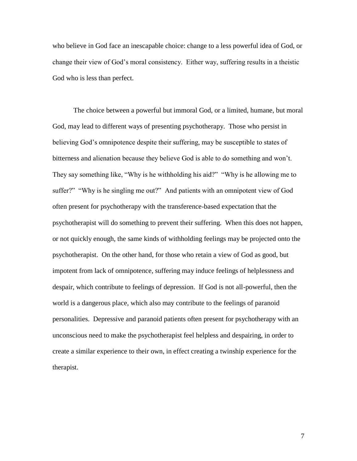who believe in God face an inescapable choice: change to a less powerful idea of God, or change their view of God"s moral consistency. Either way, suffering results in a theistic God who is less than perfect.

The choice between a powerful but immoral God, or a limited, humane, but moral God, may lead to different ways of presenting psychotherapy. Those who persist in believing God"s omnipotence despite their suffering, may be susceptible to states of bitterness and alienation because they believe God is able to do something and won"t. They say something like, "Why is he withholding his aid?" "Why is he allowing me to suffer?" "Why is he singling me out?" And patients with an omnipotent view of God often present for psychotherapy with the transference-based expectation that the psychotherapist will do something to prevent their suffering. When this does not happen, or not quickly enough, the same kinds of withholding feelings may be projected onto the psychotherapist. On the other hand, for those who retain a view of God as good, but impotent from lack of omnipotence, suffering may induce feelings of helplessness and despair, which contribute to feelings of depression. If God is not all-powerful, then the world is a dangerous place, which also may contribute to the feelings of paranoid personalities. Depressive and paranoid patients often present for psychotherapy with an unconscious need to make the psychotherapist feel helpless and despairing, in order to create a similar experience to their own, in effect creating a twinship experience for the therapist.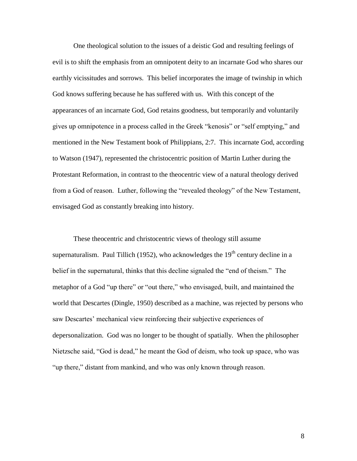One theological solution to the issues of a deistic God and resulting feelings of evil is to shift the emphasis from an omnipotent deity to an incarnate God who shares our earthly vicissitudes and sorrows. This belief incorporates the image of twinship in which God knows suffering because he has suffered with us. With this concept of the appearances of an incarnate God, God retains goodness, but temporarily and voluntarily gives up omnipotence in a process called in the Greek "kenosis" or "self emptying," and mentioned in the New Testament book of Philippians, 2:7. This incarnate God, according to Watson (1947), represented the christocentric position of Martin Luther during the Protestant Reformation, in contrast to the theocentric view of a natural theology derived from a God of reason. Luther, following the "revealed theology" of the New Testament, envisaged God as constantly breaking into history.

These theocentric and christocentric views of theology still assume supernaturalism. Paul Tillich (1952), who acknowledges the  $19<sup>th</sup>$  century decline in a belief in the supernatural, thinks that this decline signaled the "end of theism." The metaphor of a God "up there" or "out there," who envisaged, built, and maintained the world that Descartes (Dingle, 1950) described as a machine, was rejected by persons who saw Descartes' mechanical view reinforcing their subjective experiences of depersonalization. God was no longer to be thought of spatially. When the philosopher Nietzsche said, "God is dead," he meant the God of deism, who took up space, who was "up there," distant from mankind, and who was only known through reason.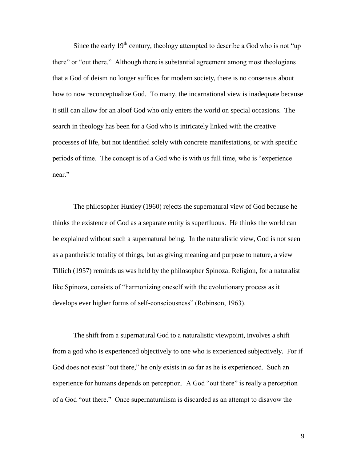Since the early  $19<sup>th</sup>$  century, theology attempted to describe a God who is not "up" there" or "out there." Although there is substantial agreement among most theologians that a God of deism no longer suffices for modern society, there is no consensus about how to now reconceptualize God. To many, the incarnational view is inadequate because it still can allow for an aloof God who only enters the world on special occasions. The search in theology has been for a God who is intricately linked with the creative processes of life, but not identified solely with concrete manifestations, or with specific periods of time. The concept is of a God who is with us full time, who is "experience near."

The philosopher Huxley (1960) rejects the supernatural view of God because he thinks the existence of God as a separate entity is superfluous. He thinks the world can be explained without such a supernatural being. In the naturalistic view, God is not seen as a pantheistic totality of things, but as giving meaning and purpose to nature, a view Tillich (1957) reminds us was held by the philosopher Spinoza. Religion, for a naturalist like Spinoza, consists of "harmonizing oneself with the evolutionary process as it develops ever higher forms of self-consciousness" (Robinson, 1963).

The shift from a supernatural God to a naturalistic viewpoint, involves a shift from a god who is experienced objectively to one who is experienced subjectively. For if God does not exist "out there," he only exists in so far as he is experienced. Such an experience for humans depends on perception. A God "out there" is really a perception of a God "out there." Once supernaturalism is discarded as an attempt to disavow the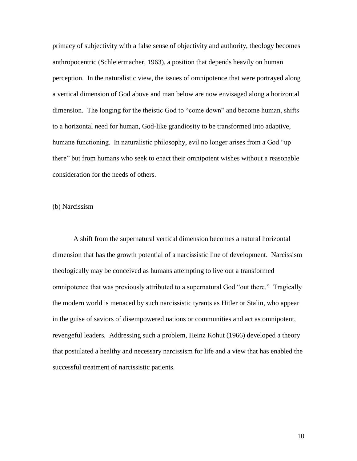primacy of subjectivity with a false sense of objectivity and authority, theology becomes anthropocentric (Schleiermacher, 1963), a position that depends heavily on human perception. In the naturalistic view, the issues of omnipotence that were portrayed along a vertical dimension of God above and man below are now envisaged along a horizontal dimension. The longing for the theistic God to "come down" and become human, shifts to a horizontal need for human, God-like grandiosity to be transformed into adaptive, humane functioning. In naturalistic philosophy, evil no longer arises from a God "up there" but from humans who seek to enact their omnipotent wishes without a reasonable consideration for the needs of others.

### (b) Narcissism

A shift from the supernatural vertical dimension becomes a natural horizontal dimension that has the growth potential of a narcissistic line of development. Narcissism theologically may be conceived as humans attempting to live out a transformed omnipotence that was previously attributed to a supernatural God "out there." Tragically the modern world is menaced by such narcissistic tyrants as Hitler or Stalin, who appear in the guise of saviors of disempowered nations or communities and act as omnipotent, revengeful leaders. Addressing such a problem, Heinz Kohut (1966) developed a theory that postulated a healthy and necessary narcissism for life and a view that has enabled the successful treatment of narcissistic patients.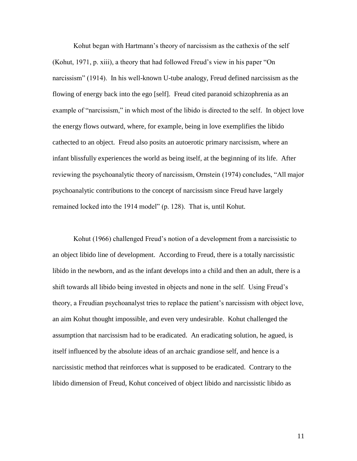Kohut began with Hartmann's theory of narcissism as the cathexis of the self (Kohut, 1971, p. xiii), a theory that had followed Freud"s view in his paper "On narcissism" (1914). In his well-known U-tube analogy, Freud defined narcissism as the flowing of energy back into the ego [self]. Freud cited paranoid schizophrenia as an example of "narcissism," in which most of the libido is directed to the self. In object love the energy flows outward, where, for example, being in love exemplifies the libido cathected to an object. Freud also posits an autoerotic primary narcissism, where an infant blissfully experiences the world as being itself, at the beginning of its life. After reviewing the psychoanalytic theory of narcissism, Ornstein (1974) concludes, "All major psychoanalytic contributions to the concept of narcissism since Freud have largely remained locked into the 1914 model" (p. 128). That is, until Kohut.

Kohut (1966) challenged Freud"s notion of a development from a narcissistic to an object libido line of development. According to Freud, there is a totally narcissistic libido in the newborn, and as the infant develops into a child and then an adult, there is a shift towards all libido being invested in objects and none in the self. Using Freud"s theory, a Freudian psychoanalyst tries to replace the patient"s narcissism with object love, an aim Kohut thought impossible, and even very undesirable. Kohut challenged the assumption that narcissism had to be eradicated. An eradicating solution, he agued, is itself influenced by the absolute ideas of an archaic grandiose self, and hence is a narcissistic method that reinforces what is supposed to be eradicated. Contrary to the libido dimension of Freud, Kohut conceived of object libido and narcissistic libido as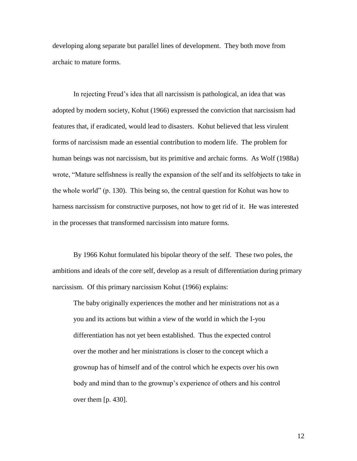developing along separate but parallel lines of development. They both move from archaic to mature forms.

In rejecting Freud's idea that all narcissism is pathological, an idea that was adopted by modern society, Kohut (1966) expressed the conviction that narcissism had features that, if eradicated, would lead to disasters. Kohut believed that less virulent forms of narcissism made an essential contribution to modern life. The problem for human beings was not narcissism, but its primitive and archaic forms. As Wolf (1988a) wrote, "Mature selfishness is really the expansion of the self and its selfobjects to take in the whole world" (p. 130). This being so, the central question for Kohut was how to harness narcissism for constructive purposes, not how to get rid of it. He was interested in the processes that transformed narcissism into mature forms.

By 1966 Kohut formulated his bipolar theory of the self. These two poles, the ambitions and ideals of the core self, develop as a result of differentiation during primary narcissism. Of this primary narcissism Kohut (1966) explains:

The baby originally experiences the mother and her ministrations not as a you and its actions but within a view of the world in which the I-you differentiation has not yet been established. Thus the expected control over the mother and her ministrations is closer to the concept which a grownup has of himself and of the control which he expects over his own body and mind than to the grownup"s experience of others and his control over them [p. 430].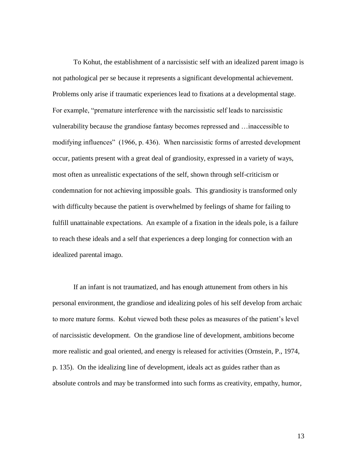To Kohut, the establishment of a narcissistic self with an idealized parent imago is not pathological per se because it represents a significant developmental achievement. Problems only arise if traumatic experiences lead to fixations at a developmental stage. For example, "premature interference with the narcissistic self leads to narcissistic vulnerability because the grandiose fantasy becomes repressed and …inaccessible to modifying influences" (1966, p. 436). When narcissistic forms of arrested development occur, patients present with a great deal of grandiosity, expressed in a variety of ways, most often as unrealistic expectations of the self, shown through self-criticism or condemnation for not achieving impossible goals. This grandiosity is transformed only with difficulty because the patient is overwhelmed by feelings of shame for failing to fulfill unattainable expectations. An example of a fixation in the ideals pole, is a failure to reach these ideals and a self that experiences a deep longing for connection with an idealized parental imago.

If an infant is not traumatized, and has enough attunement from others in his personal environment, the grandiose and idealizing poles of his self develop from archaic to more mature forms. Kohut viewed both these poles as measures of the patient"s level of narcissistic development. On the grandiose line of development, ambitions become more realistic and goal oriented, and energy is released for activities (Ornstein, P., 1974, p. 135). On the idealizing line of development, ideals act as guides rather than as absolute controls and may be transformed into such forms as creativity, empathy, humor,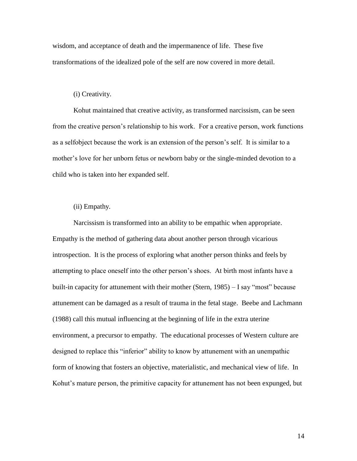wisdom, and acceptance of death and the impermanence of life. These five transformations of the idealized pole of the self are now covered in more detail.

# (i) Creativity.

Kohut maintained that creative activity, as transformed narcissism, can be seen from the creative person"s relationship to his work. For a creative person, work functions as a selfobject because the work is an extension of the person"s self. It is similar to a mother"s love for her unborn fetus or newborn baby or the single-minded devotion to a child who is taken into her expanded self.

## (ii) Empathy.

Narcissism is transformed into an ability to be empathic when appropriate. Empathy is the method of gathering data about another person through vicarious introspection. It is the process of exploring what another person thinks and feels by attempting to place oneself into the other person"s shoes. At birth most infants have a built-in capacity for attunement with their mother (Stern, 1985) – I say "most" because attunement can be damaged as a result of trauma in the fetal stage. Beebe and Lachmann (1988) call this mutual influencing at the beginning of life in the extra uterine environment, a precursor to empathy. The educational processes of Western culture are designed to replace this "inferior" ability to know by attunement with an unempathic form of knowing that fosters an objective, materialistic, and mechanical view of life. In Kohut's mature person, the primitive capacity for attunement has not been expunged, but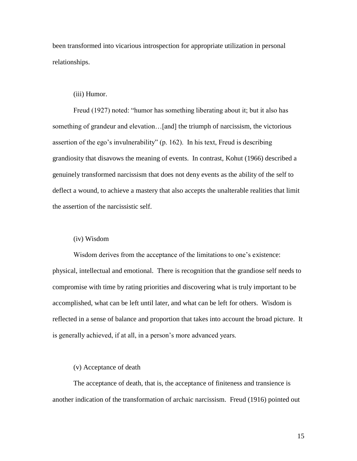been transformed into vicarious introspection for appropriate utilization in personal relationships.

## (iii) Humor.

Freud (1927) noted: "humor has something liberating about it; but it also has something of grandeur and elevation…[and] the triumph of narcissism, the victorious assertion of the ego's invulnerability" (p. 162). In his text, Freud is describing grandiosity that disavows the meaning of events. In contrast, Kohut (1966) described a genuinely transformed narcissism that does not deny events as the ability of the self to deflect a wound, to achieve a mastery that also accepts the unalterable realities that limit the assertion of the narcissistic self.

# (iv) Wisdom

Wisdom derives from the acceptance of the limitations to one's existence: physical, intellectual and emotional. There is recognition that the grandiose self needs to compromise with time by rating priorities and discovering what is truly important to be accomplished, what can be left until later, and what can be left for others. Wisdom is reflected in a sense of balance and proportion that takes into account the broad picture. It is generally achieved, if at all, in a person's more advanced years.

### (v) Acceptance of death

The acceptance of death, that is, the acceptance of finiteness and transience is another indication of the transformation of archaic narcissism. Freud (1916) pointed out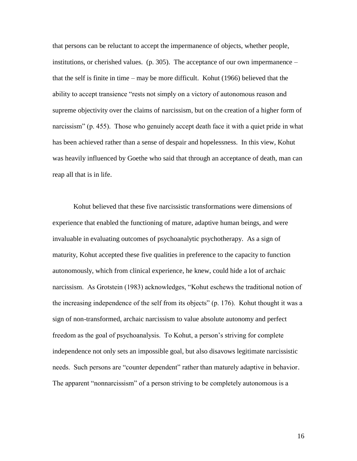that persons can be reluctant to accept the impermanence of objects, whether people, institutions, or cherished values. (p. 305). The acceptance of our own impermanence – that the self is finite in time – may be more difficult. Kohut (1966) believed that the ability to accept transience "rests not simply on a victory of autonomous reason and supreme objectivity over the claims of narcissism, but on the creation of a higher form of narcissism" (p. 455). Those who genuinely accept death face it with a quiet pride in what has been achieved rather than a sense of despair and hopelessness. In this view, Kohut was heavily influenced by Goethe who said that through an acceptance of death, man can reap all that is in life.

Kohut believed that these five narcissistic transformations were dimensions of experience that enabled the functioning of mature, adaptive human beings, and were invaluable in evaluating outcomes of psychoanalytic psychotherapy. As a sign of maturity, Kohut accepted these five qualities in preference to the capacity to function autonomously, which from clinical experience, he knew, could hide a lot of archaic narcissism. As Grotstein (1983) acknowledges, "Kohut eschews the traditional notion of the increasing independence of the self from its objects" (p. 176). Kohut thought it was a sign of non-transformed, archaic narcissism to value absolute autonomy and perfect freedom as the goal of psychoanalysis. To Kohut, a person"s striving for complete independence not only sets an impossible goal, but also disavows legitimate narcissistic needs. Such persons are "counter dependent" rather than maturely adaptive in behavior. The apparent "nonnarcissism" of a person striving to be completely autonomous is a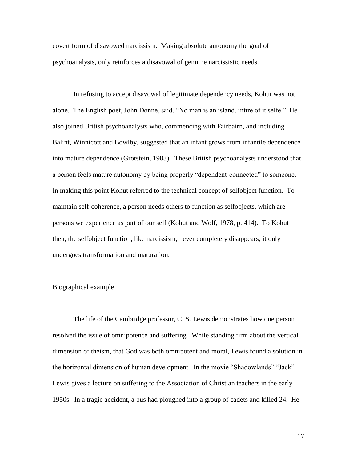covert form of disavowed narcissism. Making absolute autonomy the goal of psychoanalysis, only reinforces a disavowal of genuine narcissistic needs.

In refusing to accept disavowal of legitimate dependency needs, Kohut was not alone. The English poet, John Donne, said, "No man is an island, intire of it selfe." He also joined British psychoanalysts who, commencing with Fairbairn, and including Balint, Winnicott and Bowlby, suggested that an infant grows from infantile dependence into mature dependence (Grotstein, 1983). These British psychoanalysts understood that a person feels mature autonomy by being properly "dependent-connected" to someone. In making this point Kohut referred to the technical concept of selfobject function. To maintain self-coherence, a person needs others to function as selfobjects, which are persons we experience as part of our self (Kohut and Wolf, 1978, p. 414). To Kohut then, the selfobject function, like narcissism, never completely disappears; it only undergoes transformation and maturation.

### Biographical example

The life of the Cambridge professor, C. S. Lewis demonstrates how one person resolved the issue of omnipotence and suffering. While standing firm about the vertical dimension of theism, that God was both omnipotent and moral, Lewis found a solution in the horizontal dimension of human development. In the movie "Shadowlands" "Jack" Lewis gives a lecture on suffering to the Association of Christian teachers in the early 1950s. In a tragic accident, a bus had ploughed into a group of cadets and killed 24. He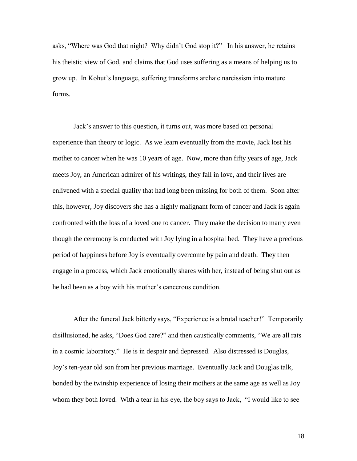asks, "Where was God that night? Why didn"t God stop it?" In his answer, he retains his theistic view of God, and claims that God uses suffering as a means of helping us to grow up. In Kohut"s language, suffering transforms archaic narcissism into mature forms.

Jack"s answer to this question, it turns out, was more based on personal experience than theory or logic. As we learn eventually from the movie, Jack lost his mother to cancer when he was 10 years of age. Now, more than fifty years of age, Jack meets Joy, an American admirer of his writings, they fall in love, and their lives are enlivened with a special quality that had long been missing for both of them. Soon after this, however, Joy discovers she has a highly malignant form of cancer and Jack is again confronted with the loss of a loved one to cancer. They make the decision to marry even though the ceremony is conducted with Joy lying in a hospital bed. They have a precious period of happiness before Joy is eventually overcome by pain and death. They then engage in a process, which Jack emotionally shares with her, instead of being shut out as he had been as a boy with his mother"s cancerous condition.

After the funeral Jack bitterly says, "Experience is a brutal teacher!" Temporarily disillusioned, he asks, "Does God care?" and then caustically comments, "We are all rats in a cosmic laboratory." He is in despair and depressed. Also distressed is Douglas, Joy"s ten-year old son from her previous marriage. Eventually Jack and Douglas talk, bonded by the twinship experience of losing their mothers at the same age as well as Joy whom they both loved. With a tear in his eye, the boy says to Jack, "I would like to see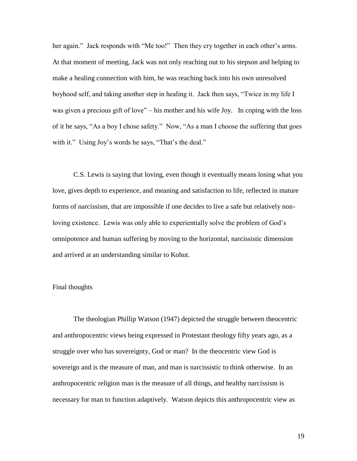her again." Jack responds with "Me too!" Then they cry together in each other's arms. At that moment of meeting, Jack was not only reaching out to his stepson and helping to make a healing connection with him, he was reaching back into his own unresolved boyhood self, and taking another step in healing it. Jack then says, "Twice in my life I was given a precious gift of love" – his mother and his wife Joy. In coping with the loss of it he says, "As a boy I chose safety." Now, "As a man I choose the suffering that goes with it." Using Joy's words he says, "That's the deal."

C.S. Lewis is saying that loving, even though it eventually means losing what you love, gives depth to experience, and meaning and satisfaction to life, reflected in mature forms of narcissism, that are impossible if one decides to live a safe but relatively nonloving existence. Lewis was only able to experientially solve the problem of God"s omnipotence and human suffering by moving to the horizontal, narcissistic dimension and arrived at an understanding similar to Kohut.

## Final thoughts

The theologian Phillip Watson (1947) depicted the struggle between theocentric and anthropocentric views being expressed in Protestant theology fifty years ago, as a struggle over who has sovereignty, God or man? In the theocentric view God is sovereign and is the measure of man, and man is narcissistic to think otherwise. In an anthropocentric religion man is the measure of all things, and healthy narcissism is necessary for man to function adaptively. Watson depicts this anthropocentric view as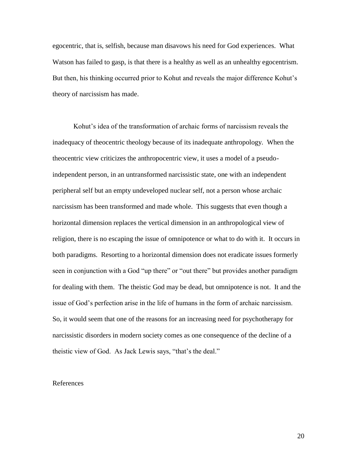egocentric, that is, selfish, because man disavows his need for God experiences. What Watson has failed to gasp, is that there is a healthy as well as an unhealthy egocentrism. But then, his thinking occurred prior to Kohut and reveals the major difference Kohut"s theory of narcissism has made.

Kohut"s idea of the transformation of archaic forms of narcissism reveals the inadequacy of theocentric theology because of its inadequate anthropology. When the theocentric view criticizes the anthropocentric view, it uses a model of a pseudoindependent person, in an untransformed narcissistic state, one with an independent peripheral self but an empty undeveloped nuclear self, not a person whose archaic narcissism has been transformed and made whole. This suggests that even though a horizontal dimension replaces the vertical dimension in an anthropological view of religion, there is no escaping the issue of omnipotence or what to do with it. It occurs in both paradigms. Resorting to a horizontal dimension does not eradicate issues formerly seen in conjunction with a God "up there" or "out there" but provides another paradigm for dealing with them. The theistic God may be dead, but omnipotence is not. It and the issue of God"s perfection arise in the life of humans in the form of archaic narcissism. So, it would seem that one of the reasons for an increasing need for psychotherapy for narcissistic disorders in modern society comes as one consequence of the decline of a theistic view of God. As Jack Lewis says, "that's the deal."

### References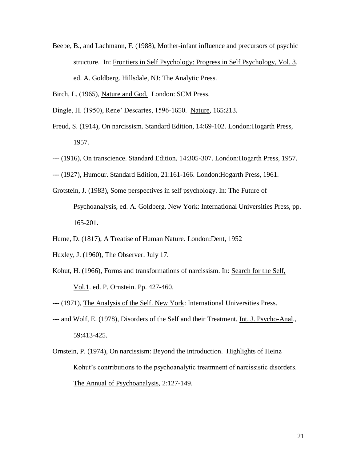- Beebe, B., and Lachmann, F. (1988), Mother-infant influence and precursors of psychic structure. In: Frontiers in Self Psychology: Progress in Self Psychology, Vol. 3, ed. A. Goldberg. Hillsdale, NJ: The Analytic Press.
- Birch, L. (1965), Nature and God. London: SCM Press.
- Dingle, H. (1950), Rene" Descartes, 1596-1650. Nature, 165:213.
- Freud, S. (1914), On narcissism. Standard Edition, 14:69-102. London:Hogarth Press, 1957.
- --- (1916), On transcience. Standard Edition, 14:305-307. London:Hogarth Press, 1957.
- --- (1927), Humour. Standard Edition, 21:161-166. London:Hogarth Press, 1961.
- Grotstein, J. (1983), Some perspectives in self psychology. In: The Future of Psychoanalysis, ed. A. Goldberg. New York: International Universities Press, pp. 165-201.
- Hume, D. (1817), A Treatise of Human Nature. London:Dent, 1952
- Huxley, J. (1960), The Observer. July 17.
- Kohut, H. (1966), Forms and transformations of narcissism. In: Search for the Self, Vol.1. ed. P. Ornstein. Pp. 427-460.
- --- (1971), The Analysis of the Self. New York: International Universities Press.
- --- and Wolf, E. (1978), Disorders of the Self and their Treatment. Int. J. Psycho-Anal., 59:413-425.
- Ornstein, P. (1974), On narcissism: Beyond the introduction. Highlights of Heinz Kohut's contributions to the psychoanalytic treatmnent of narcissistic disorders. The Annual of Psychoanalysis, 2:127-149.